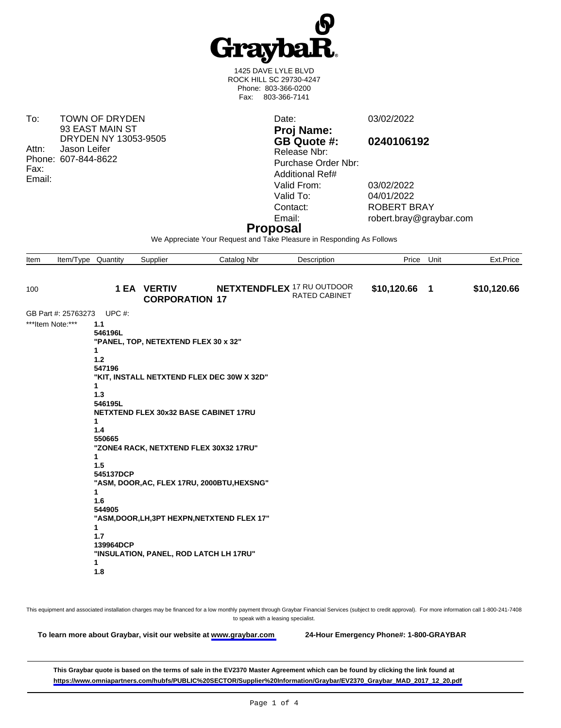

1425 DAVE LYLE BLVD ROCK HILL SC 29730-4247 Phone: 803-366-0200 Fax: 803-366-7141

To: TOWN OF DRYDEN 93 EAST MAIN ST DRYDEN NY 13053-9505 Attn: Jason Leifer Phone: 607-844-8622 Fax: Email:

**Proj Name: GB Quote #: 0240106192** Release Nbr: Purchase Order Nbr: Additional Ref# Valid From: 03/02/2022 Valid To: 04/01/2022<br>Contact: ROBERT B Contact: ROBERT BRAY<br>
Email: robert.brav@gra

Date: 03/02/2022

robert.bray@graybar.com

## **Proposal**

We Appreciate Your Request and Take Pleasure in Responding As Follows

| Item | Item/Type Quantity  |                                                                                                                                                             | Supplier                                                                                                                | Catalog Nbr                                                                                                                               | Description                                               | Price         | Unit | Ext.Price   |
|------|---------------------|-------------------------------------------------------------------------------------------------------------------------------------------------------------|-------------------------------------------------------------------------------------------------------------------------|-------------------------------------------------------------------------------------------------------------------------------------------|-----------------------------------------------------------|---------------|------|-------------|
|      |                     |                                                                                                                                                             |                                                                                                                         |                                                                                                                                           |                                                           |               |      |             |
| 100  |                     |                                                                                                                                                             | <b>1 EA VERTIV</b><br><b>CORPORATION 17</b>                                                                             |                                                                                                                                           | <b>NETXTENDFLEX 17 RU OUTDOOR</b><br><b>RATED CABINET</b> | \$10,120.66 1 |      | \$10,120.66 |
|      | GB Part #: 25763273 | UPC $#$ :                                                                                                                                                   |                                                                                                                         |                                                                                                                                           |                                                           |               |      |             |
|      | ***Item Note:***    | 1.1<br>546196L<br>1<br>$1.2$<br>547196<br>1<br>1.3<br>546195L<br>1<br>1.4<br>550665<br>1<br>1.5<br>545137DCP<br>1<br>1.6<br>544905<br>1<br>1.7<br>139964DCP | "PANEL, TOP, NETEXTEND FLEX 30 x 32"<br>NETXTEND FLEX 30x32 BASE CABINET 17RU<br>"ZONE4 RACK, NETXTEND FLEX 30X32 17RU" | "KIT, INSTALL NETXTEND FLEX DEC 30W X 32D"<br>"ASM, DOOR, AC, FLEX 17RU, 2000BTU, HEXSNG"<br>"ASM, DOOR, LH, 3PT HEXPN, NETXTEND FLEX 17" |                                                           |               |      |             |
|      |                     | 1<br>1.8                                                                                                                                                    | "INSULATION, PANEL, ROD LATCH LH 17RU"                                                                                  |                                                                                                                                           |                                                           |               |      |             |

This equipment and associated installation charges may be financed for a low monthly payment through Graybar Financial Services (subject to credit approval). For more information call 1-800-241-7408 to speak with a leasing specialist.

**To learn more about Graybar, visit our website at [www.graybar.com](www.graybar.com ) 24-Hour Emergency Phone#: 1-800-GRAYBAR**

**This Graybar quote is based on the terms of sale in the EV2370 Master Agreement which can be found by clicking the link found at [https://www.omniapartners.com/hubfs/PUBLIC%20SECTOR/Supplier%20Information/Graybar/EV2370\\_Graybar\\_MAD\\_2017\\_12\\_20.pdf](https://www.omniapartners.com/hubfs/PUBLIC%20SECTOR/Supplier%20Information/Graybar/EV2370_Graybar_MAD_2017_12_20.pdf)**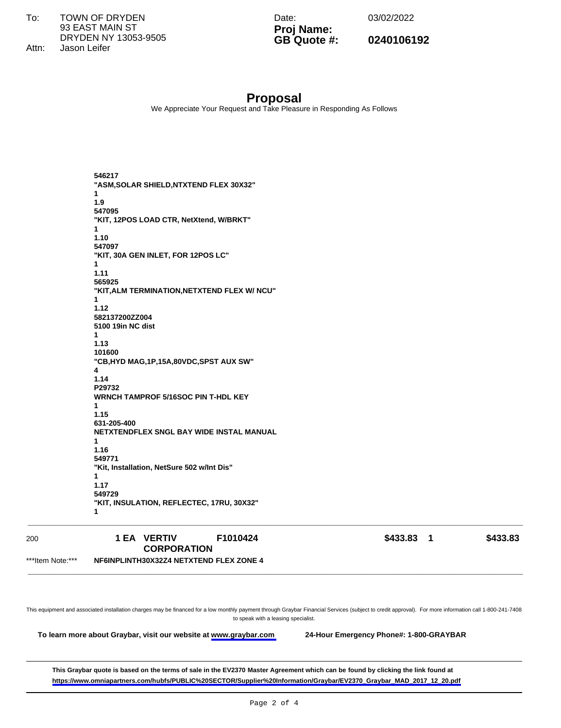$To:$ **TOWN OF DRYDEN** 93 EAST MAIN ST DRYDEN NY 13053-9505 Jason Leifer Attn:

Date:

03/02/2022

Proj Name: GB Quote #:

0240106192

## **Proposal**

We Appreciate Your Request and Take Pleasure in Responding As Follows

546217 "ASM, SOLAR SHIELD, NTXTEND FLEX 30X32"  $\blacktriangleleft$  $1.9$ 547095 "KIT, 12POS LOAD CTR, NetXtend, W/BRKT" 1  $1.10$ 547097 "KIT, 30A GEN INLET, FOR 12POS LC"  $\blacktriangleleft$ 1.11 565925 "KIT, ALM TERMINATION, NETXTEND FLEX W/ NCU"  $\blacktriangleleft$  $1.12$ 582137200ZZ004 5100 19in NC dist 1  $1.13$ 101600 "CB, HYD MAG, 1P, 15A, 80VDC, SPST AUX SW"  $\boldsymbol{\Lambda}$ 1.14 P29732 **WRNCH TAMPROF 5/16SOC PIN T-HDL KEY** 1  $1.15$ 631-205-400 NETXTENDFLEX SNGL BAY WIDE INSTAL MANUAL  $\mathbf{1}$ 1.16 549771 "Kit, Installation, NetSure 502 w/Int Dis"  $\mathbf{1}$ 1.17 549729 "KIT, INSULATION, REFLECTEC, 17RU, 30X32" 1

| 200              | 1 EA VERTIV                             | F1010424 | \$433.83 | \$433.83 |
|------------------|-----------------------------------------|----------|----------|----------|
|                  | <b>CORPORATION</b>                      |          |          |          |
| ***Item Note:*** | NF6INPLINTH30X32Z4 NETXTEND FLEX ZONE 4 |          |          |          |
|                  |                                         |          |          |          |

This equipment and associated installation charges may be financed for a low monthly payment through Graybar Financial Services (subject to credit approval). For more information call 1-800-241-7408 to speak with a leasing specialist.

To learn more about Graybar, visit our website at www.graybar.com

24-Hour Emergency Phone#: 1-800-GRAYBAR

This Graybar quote is based on the terms of sale in the EV2370 Master Agreement which can be found by clicking the link found at https://www.omniapartners.com/hubfs/PUBLIC%20SECTOR/Supplier%20Information/Graybar/EV2370\_Graybar\_MAD\_2017\_12\_20.pdf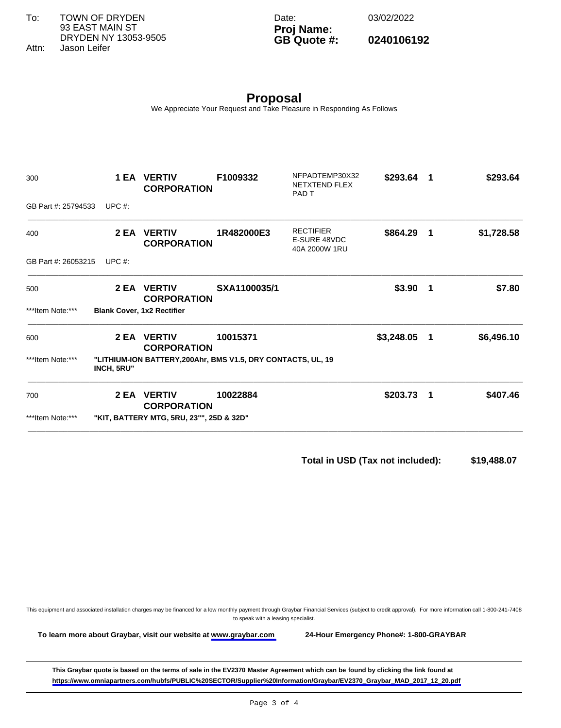**To learn more about Graybar, visit our website at [www.graybar.com](www.graybar.com ) 24-Hour Emergency Phone#: 1-800-GRAYBAR**

**This Graybar quote is based on the terms of sale in the EV2370 Master Agreement which can be found by clicking the link found at [https://www.omniapartners.com/hubfs/PUBLIC%20SECTOR/Supplier%20Information/Graybar/EV2370\\_Graybar\\_MAD\\_2017\\_12\\_20.pdf](https://www.omniapartners.com/hubfs/PUBLIC%20SECTOR/Supplier%20Information/Graybar/EV2370_Graybar_MAD_2017_12_20.pdf)**

This equipment and associated installation charges may be financed for a low monthly payment through Graybar Financial Services (subject to credit approval). For more information call 1-800-241-7408 to speak with a leasing specialist.

| To:   | <b>TOWN OF DRYDEN</b> |
|-------|-----------------------|
|       | 93 EAST MAIN ST       |
|       | DRYDEN NY 13053-9505  |
| Attn: | Jason Leifer          |

Date: 03/02/2022 **Proj Name:**

**GB Quote #: 0240106192**

**Proposal** We Appreciate Your Request and Take Pleasure in Responding As Follows

| 300                 |                   | <b>1 EA VERTIV</b><br><b>CORPORATION</b>                     | F1009332     | NFPADTEMP30X32<br>NETXTEND FLEX<br>PAD <sub>T</sub> | \$293.64   | $\overline{\mathbf{1}}$ | \$293.64   |
|---------------------|-------------------|--------------------------------------------------------------|--------------|-----------------------------------------------------|------------|-------------------------|------------|
| GB Part #: 25794533 | UPC $#$ :         |                                                              |              |                                                     |            |                         |            |
| 400                 |                   | 2 EA VERTIV<br><b>CORPORATION</b>                            | 1R482000E3   | <b>RECTIFIER</b><br>E-SURE 48VDC<br>40A 2000W 1RU   | \$864.29   | $\blacksquare$          | \$1,728.58 |
| GB Part #: 26053215 | UPC $#$ :         |                                                              |              |                                                     |            |                         |            |
| 500                 |                   | 2 EA VERTIV<br><b>CORPORATION</b>                            | SXA1100035/1 |                                                     | \$3.90     | - 1                     | \$7.80     |
| ***Item Note:***    |                   | <b>Blank Cover, 1x2 Rectifier</b>                            |              |                                                     |            |                         |            |
| 600                 |                   | 2 EA VERTIV<br><b>CORPORATION</b>                            | 10015371     |                                                     | \$3,248.05 | $\blacksquare$          | \$6,496.10 |
| ***Item Note:***    | <b>INCH, 5RU"</b> | "LITHIUM-ION BATTERY, 200Ahr, BMS V1.5, DRY CONTACTS, UL, 19 |              |                                                     |            |                         |            |
| 700                 |                   | <b>2 EA VERTIV</b><br><b>CORPORATION</b>                     | 10022884     |                                                     | \$203.73   | - 1                     | \$407.46   |
| ***Item Note:***    |                   | "KIT, BATTERY MTG, 5RU, 23"", 25D & 32D"                     |              |                                                     |            |                         |            |

**Total in USD (Tax not included): \$19,488.07**